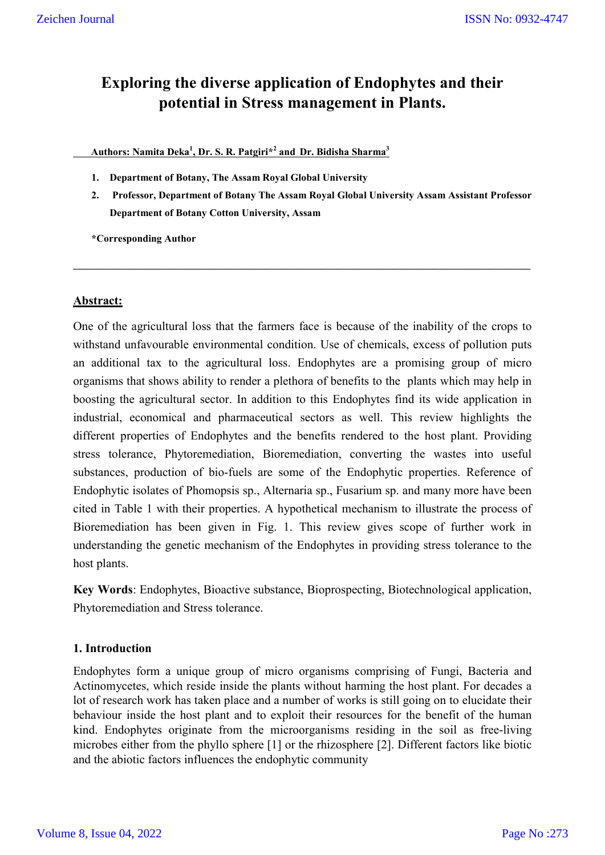# **Exploring the diverse application of Endophytes and their potential in Stress management in Plants.**

 **Authors: Namita Deka<sup>1</sup> , Dr. S. R. Patgiri\*<sup>2</sup> and Dr. Bidisha Sharma<sup>3</sup>**

- **1. Department of Botany, The Assam Royal Global University**
- **2. Professor, Department of Botany The Assam Royal Global University Assam Assistant Professor Department of Botany Cotton University, Assam**

**\_\_\_\_\_\_\_\_\_\_\_\_\_\_\_\_\_\_\_\_\_\_\_\_\_\_\_\_\_\_\_\_\_\_\_\_\_\_\_\_\_\_\_\_\_\_\_\_\_\_\_\_\_\_\_\_\_\_\_\_\_\_\_\_\_\_\_\_\_\_\_\_\_\_\_\_\_\_\_\_\_\_\_\_\_\_\_\_\_\_**

**\*Corresponding Author**

# **Abstract:**

One of the agricultural loss that the farmers face is because of the inability of the crops to withstand unfavourable environmental condition. Use of chemicals, excess of pollution puts an additional tax to the agricultural loss. Endophytes are a promising group of micro organisms that shows ability to render a plethora of benefits to the plants which may help in boosting the agricultural sector. In addition to this Endophytes find its wide application in industrial, economical and pharmaceutical sectors as well. This review highlights the different properties of Endophytes and the benefits rendered to the host plant. Providing stress tolerance, Phytoremediation, Bioremediation, converting the wastes into useful substances, production of bio-fuels are some of the Endophytic properties. Reference of Endophytic isolates of Phomopsis sp., Alternaria sp., Fusarium sp. and many more have been cited in Table 1 with their properties. A hypothetical mechanism to illustrate the process of Bioremediation has been given in Fig. 1. This review gives scope of further work in understanding the genetic mechanism of the Endophytes in providing stress tolerance to the host plants.

**Key Words**: Endophytes, Bioactive substance, Bioprospecting, Biotechnological application, Phytoremediation and Stress tolerance.

# **1. Introduction**

Endophytes form a unique group of micro organisms comprising of Fungi, Bacteria and Actinomycetes, which reside inside the plants without harming the host plant. For decades a lot of research work has taken place and a number of works is still going on to elucidate their behaviour inside the host plant and to exploit their resources for the benefit of the human kind. Endophytes originate from the microorganisms residing in the soil as free-living microbes either from the phyllo sphere [1] or the rhizosphere [2]. Different factors like biotic and the abiotic factors influences the endophytic community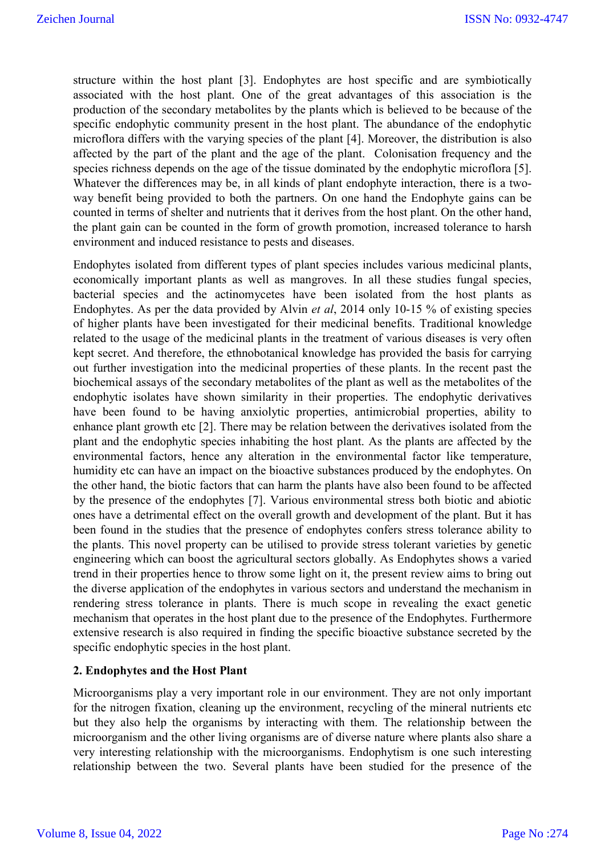structure within the host plant [3]. Endophytes are host specific and are symbiotically associated with the host plant. One of the great advantages of this association is the production of the secondary metabolites by the plants which is believed to be because of the specific endophytic community present in the host plant. The abundance of the endophytic microflora differs with the varying species of the plant [4]. Moreover, the distribution is also affected by the part of the plant and the age of the plant. Colonisation frequency and the species richness depends on the age of the tissue dominated by the endophytic microflora [5]. Whatever the differences may be, in all kinds of plant endophyte interaction, there is a twoway benefit being provided to both the partners. On one hand the Endophyte gains can be counted in terms of shelter and nutrients that it derives from the host plant. On the other hand, the plant gain can be counted in the form of growth promotion, increased tolerance to harsh environment and induced resistance to pests and diseases.

Endophytes isolated from different types of plant species includes various medicinal plants, economically important plants as well as mangroves. In all these studies fungal species, bacterial species and the actinomycetes have been isolated from the host plants as Endophytes. As per the data provided by Alvin *et al*, 2014 only 10-15 % of existing species of higher plants have been investigated for their medicinal benefits. Traditional knowledge related to the usage of the medicinal plants in the treatment of various diseases is very often kept secret. And therefore, the ethnobotanical knowledge has provided the basis for carrying out further investigation into the medicinal properties of these plants. In the recent past the biochemical assays of the secondary metabolites of the plant as well as the metabolites of the endophytic isolates have shown similarity in their properties. The endophytic derivatives have been found to be having anxiolytic properties, antimicrobial properties, ability to enhance plant growth etc [2]. There may be relation between the derivatives isolated from the plant and the endophytic species inhabiting the host plant. As the plants are affected by the environmental factors, hence any alteration in the environmental factor like temperature, humidity etc can have an impact on the bioactive substances produced by the endophytes. On the other hand, the biotic factors that can harm the plants have also been found to be affected by the presence of the endophytes [7]. Various environmental stress both biotic and abiotic ones have a detrimental effect on the overall growth and development of the plant. But it has been found in the studies that the presence of endophytes confers stress tolerance ability to the plants. This novel property can be utilised to provide stress tolerant varieties by genetic engineering which can boost the agricultural sectors globally. As Endophytes shows a varied trend in their properties hence to throw some light on it, the present review aims to bring out the diverse application of the endophytes in various sectors and understand the mechanism in rendering stress tolerance in plants. There is much scope in revealing the exact genetic mechanism that operates in the host plant due to the presence of the Endophytes. Furthermore extensive research is also required in finding the specific bioactive substance secreted by the specific endophytic species in the host plant.

#### **2. Endophytes and the Host Plant**

Microorganisms play a very important role in our environment. They are not only important for the nitrogen fixation, cleaning up the environment, recycling of the mineral nutrients etc but they also help the organisms by interacting with them. The relationship between the microorganism and the other living organisms are of diverse nature where plants also share a very interesting relationship with the microorganisms. Endophytism is one such interesting relationship between the two. Several plants have been studied for the presence of the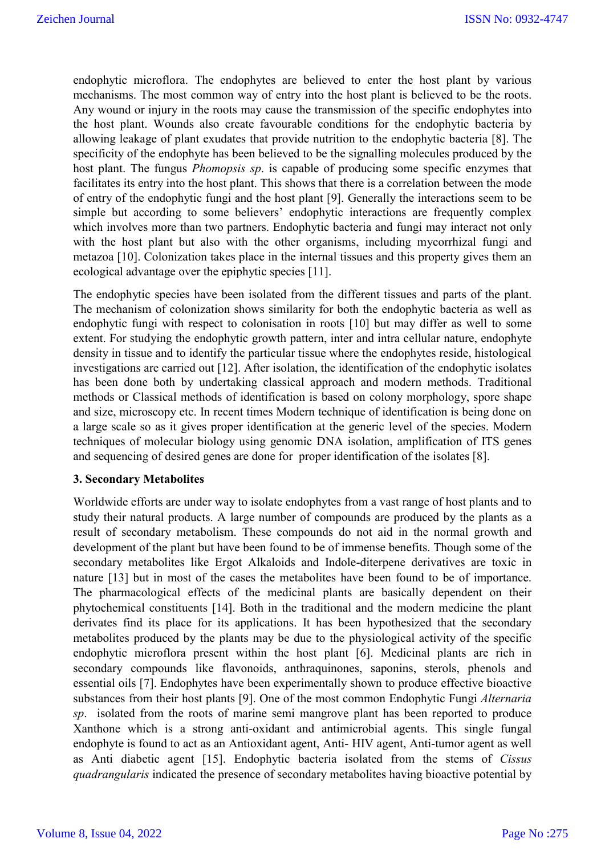endophytic microflora. The endophytes are believed to enter the host plant by various mechanisms. The most common way of entry into the host plant is believed to be the roots. Any wound or injury in the roots may cause the transmission of the specific endophytes into the host plant. Wounds also create favourable conditions for the endophytic bacteria by allowing leakage of plant exudates that provide nutrition to the endophytic bacteria [8]. The specificity of the endophyte has been believed to be the signalling molecules produced by the host plant. The fungus *Phomopsis sp*. is capable of producing some specific enzymes that facilitates its entry into the host plant. This shows that there is a correlation between the mode of entry of the endophytic fungi and the host plant [9]. Generally the interactions seem to be simple but according to some believers' endophytic interactions are frequently complex which involves more than two partners. Endophytic bacteria and fungi may interact not only with the host plant but also with the other organisms, including mycorrhizal fungi and metazoa [10]. Colonization takes place in the internal tissues and this property gives them an ecological advantage over the epiphytic species [11].

The endophytic species have been isolated from the different tissues and parts of the plant. The mechanism of colonization shows similarity for both the endophytic bacteria as well as endophytic fungi with respect to colonisation in roots [10] but may differ as well to some extent. For studying the endophytic growth pattern, inter and intra cellular nature, endophyte density in tissue and to identify the particular tissue where the endophytes reside, histological investigations are carried out [12]. After isolation, the identification of the endophytic isolates has been done both by undertaking classical approach and modern methods. Traditional methods or Classical methods of identification is based on colony morphology, spore shape and size, microscopy etc. In recent times Modern technique of identification is being done on a large scale so as it gives proper identification at the generic level of the species. Modern techniques of molecular biology using genomic DNA isolation, amplification of ITS genes and sequencing of desired genes are done for proper identification of the isolates [8].

# **3. Secondary Metabolites**

Worldwide efforts are under way to isolate endophytes from a vast range of host plants and to study their natural products. A large number of compounds are produced by the plants as a result of secondary metabolism. These compounds do not aid in the normal growth and development of the plant but have been found to be of immense benefits. Though some of the secondary metabolites like Ergot Alkaloids and Indole-diterpene derivatives are toxic in nature [13] but in most of the cases the metabolites have been found to be of importance. The pharmacological effects of the medicinal plants are basically dependent on their phytochemical constituents [14]. Both in the traditional and the modern medicine the plant derivates find its place for its applications. It has been hypothesized that the secondary metabolites produced by the plants may be due to the physiological activity of the specific endophytic microflora present within the host plant [6]. Medicinal plants are rich in secondary compounds like flavonoids, anthraquinones, saponins, sterols, phenols and essential oils [7]. Endophytes have been experimentally shown to produce effective bioactive substances from their host plants [9]. One of the most common Endophytic Fungi *Alternaria sp*. isolated from the roots of marine semi mangrove plant has been reported to produce Xanthone which is a strong anti-oxidant and antimicrobial agents. This single fungal endophyte is found to act as an Antioxidant agent, Anti- HIV agent, Anti-tumor agent as well as Anti diabetic agent [15]. Endophytic bacteria isolated from the stems of *Cissus quadrangularis* indicated the presence of secondary metabolites having bioactive potential by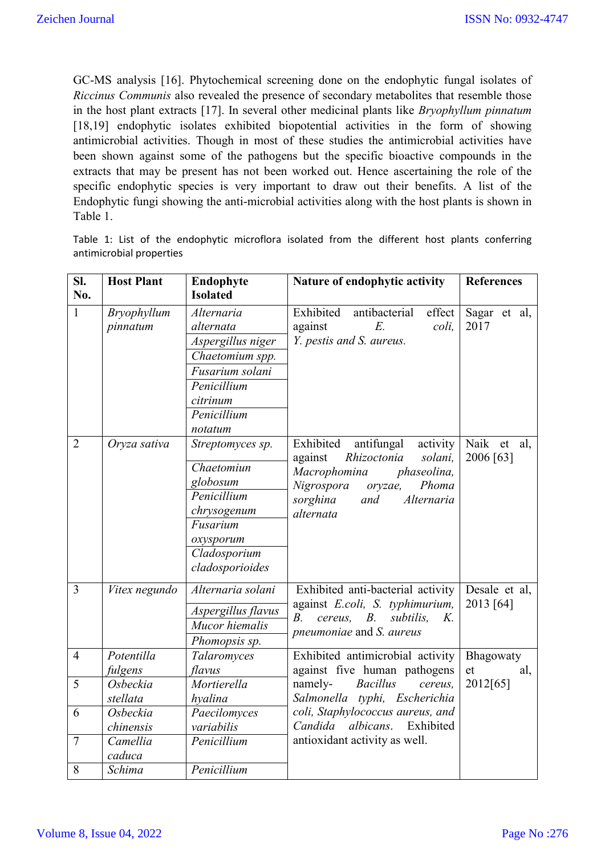GC-MS analysis [16]. Phytochemical screening done on the endophytic fungal isolates of *Riccinus Communis* also revealed the presence of secondary metabolites that resemble those in the host plant extracts [17]. In several other medicinal plants like *Bryophyllum pinnatum* [18,19] endophytic isolates exhibited biopotential activities in the form of showing antimicrobial activities. Though in most of these studies the antimicrobial activities have been shown against some of the pathogens but the specific bioactive compounds in the extracts that may be present has not been worked out. Hence ascertaining the role of the specific endophytic species is very important to draw out their benefits. A list of the Endophytic fungi showing the anti-microbial activities along with the host plants is shown in Table 1.

Table 1: List of the endophytic microflora isolated from the different host plants conferring antimicrobial properties

| SI.            | <b>Host Plant</b>       | Endophyte                                                                                                                               | Nature of endophytic activity                                                                                                                                                           | <b>References</b>           |
|----------------|-------------------------|-----------------------------------------------------------------------------------------------------------------------------------------|-----------------------------------------------------------------------------------------------------------------------------------------------------------------------------------------|-----------------------------|
| No.            |                         | <b>Isolated</b>                                                                                                                         |                                                                                                                                                                                         |                             |
| $\mathbf{1}$   | Bryophyllum<br>pinnatum | Alternaria<br>alternata<br>Aspergillus niger<br>Chaetomium spp.<br>Fusarium solani<br>Penicillium<br>citrinum<br>Penicillium<br>notatum | Exhibited<br>antibacterial<br>effect<br>$E$ .<br>against<br>coli,<br>Y. pestis and S. aureus.                                                                                           | Sagar et al,<br>2017        |
| $\overline{2}$ | Oryza sativa            | Streptomyces sp.<br>Chaetomiun<br>globosum<br>Penicillium<br>chrysogenum<br>Fusarium<br>oxysporum<br>Cladosporium<br>cladosporioides    | Exhibited<br>antifungal<br>activity<br>against<br>Rhizoctonia<br>solani,<br>Macrophomina<br>phaseolina,<br>Nigrospora<br>Phoma<br>oryzae,<br>sorghina<br>and<br>Alternaria<br>alternata | Naik<br>et al,<br>2006 [63] |
| $\overline{3}$ | Vitex negundo           | Alternaria solani<br>Aspergillus flavus<br>Mucor hiemalis<br>Phomopsis sp.                                                              | Exhibited anti-bacterial activity<br>against E.coli, S. typhimurium,<br>cereus,<br>$B$ .<br>$B_{\cdot}$<br>subtilis,<br>$K_{\cdot}$<br>pneumoniae and S. aureus                         | Desale et al,<br>2013 [64]  |
| $\overline{4}$ | Potentilla              | Talaromyces                                                                                                                             | Exhibited antimicrobial activity                                                                                                                                                        | Bhagowaty                   |
|                | fulgens                 | flavus                                                                                                                                  | against five human pathogens                                                                                                                                                            | et<br>al,                   |
| $\overline{5}$ | Osbeckia                | Mortierella                                                                                                                             | namely-<br><b>Bacillus</b><br>cereus,                                                                                                                                                   | 2012[65]                    |
|                | stellata                | hyalina                                                                                                                                 | Salmonella typhi, Escherichia                                                                                                                                                           |                             |
| 6              | Osbeckia                | Paecilomyces                                                                                                                            | coli, Staphylococcus aureus, and<br>albicans.<br>Exhibited<br>Candida                                                                                                                   |                             |
|                | chinensis               | variabilis                                                                                                                              | antioxidant activity as well.                                                                                                                                                           |                             |
| $\tau$         | Camellia                | Penicillium                                                                                                                             |                                                                                                                                                                                         |                             |
|                | caduca                  |                                                                                                                                         |                                                                                                                                                                                         |                             |
| 8              | Schima                  | Penicillium                                                                                                                             |                                                                                                                                                                                         |                             |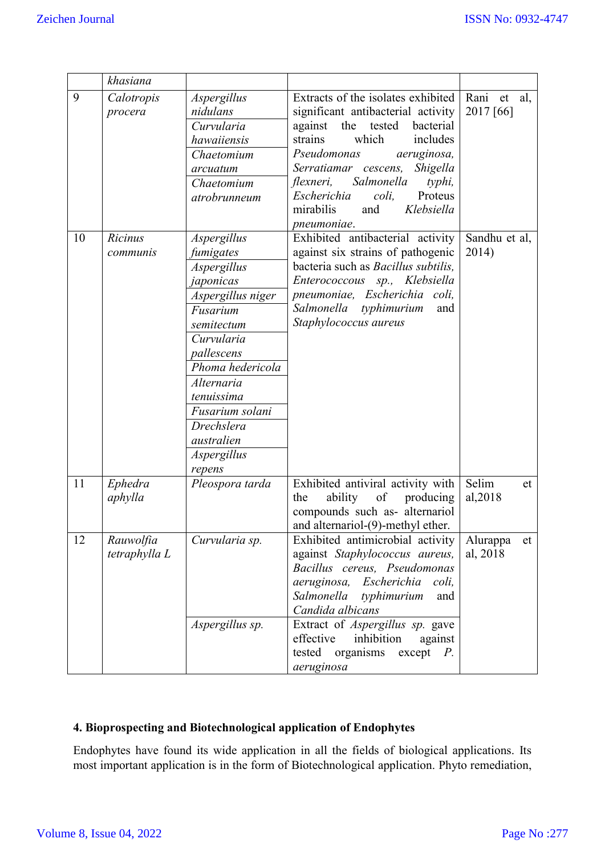|    | khasiana                   |                                                                                                                                                                                                                                                         |                                                                                                                                                                                                                                                                                                                                                  |                                |
|----|----------------------------|---------------------------------------------------------------------------------------------------------------------------------------------------------------------------------------------------------------------------------------------------------|--------------------------------------------------------------------------------------------------------------------------------------------------------------------------------------------------------------------------------------------------------------------------------------------------------------------------------------------------|--------------------------------|
| 9  | Calotropis<br>procera      | Aspergillus<br>nidulans<br>Curvularia<br>hawaiiensis<br>Chaetomium<br>arcuatum<br>Chaetomium<br>atrobrunneum                                                                                                                                            | Extracts of the isolates exhibited<br>significant antibacterial activity<br>tested<br>bacterial<br>against the<br>which<br>strains<br>includes<br>Pseudomonas<br>aeruginosa,<br>Serratiamar cescens,<br>Shigella<br>Salmonella<br>flexneri,<br>typhi,<br>Escherichia<br>Proteus<br>coli,<br>mirabilis<br>Klebsiella<br>and<br><i>pneumoniae.</i> | Rani<br>al,<br>et<br>2017 [66] |
| 10 | Ricinus<br>communis        | Aspergillus<br>fumigates<br>Aspergillus<br>japonicas<br>Aspergillus niger<br>Fusarium<br>semitectum<br>Curvularia<br>pallescens<br>Phoma hedericola<br>Alternaria<br>tenuissima<br>Fusarium solani<br>Drechslera<br>australien<br>Aspergillus<br>repens | Exhibited antibacterial activity<br>against six strains of pathogenic<br>bacteria such as Bacillus subtilis,<br>Enterococcous sp., Klebsiella<br>pneumoniae, Escherichia coli,<br>Salmonella typhimurium<br>and<br>Staphylococcus aureus                                                                                                         | Sandhu et al,<br>2014)         |
| 11 | Ephedra<br>aphylla         | Pleospora tarda                                                                                                                                                                                                                                         | Exhibited antiviral activity with<br>ability<br>of<br>the<br>producing<br>compounds such as- alternariol<br>and alternariol-(9)-methyl ether                                                                                                                                                                                                     | Selim<br>et<br>al, 2018        |
| 12 | Rauwolfia<br>tetraphylla L | Curvularia sp.<br>Aspergillus sp.                                                                                                                                                                                                                       | Exhibited antimicrobial activity<br>against Staphylococcus aureus,<br>Bacillus cereus, Pseudomonas<br>aeruginosa, Escherichia<br>coli,<br>Salmonella typhimurium<br>and<br>Candida albicans<br>Extract of Aspergillus sp. gave<br>effective<br>inhibition<br>against<br>tested<br>organisms<br>except<br>$P_{\cdot}$<br>aeruginosa               | Alurappa<br>et<br>al, 2018     |

# **4. Bioprospecting and Biotechnological application of Endophytes**

Endophytes have found its wide application in all the fields of biological applications. Its most important application is in the form of Biotechnological application. Phyto remediation,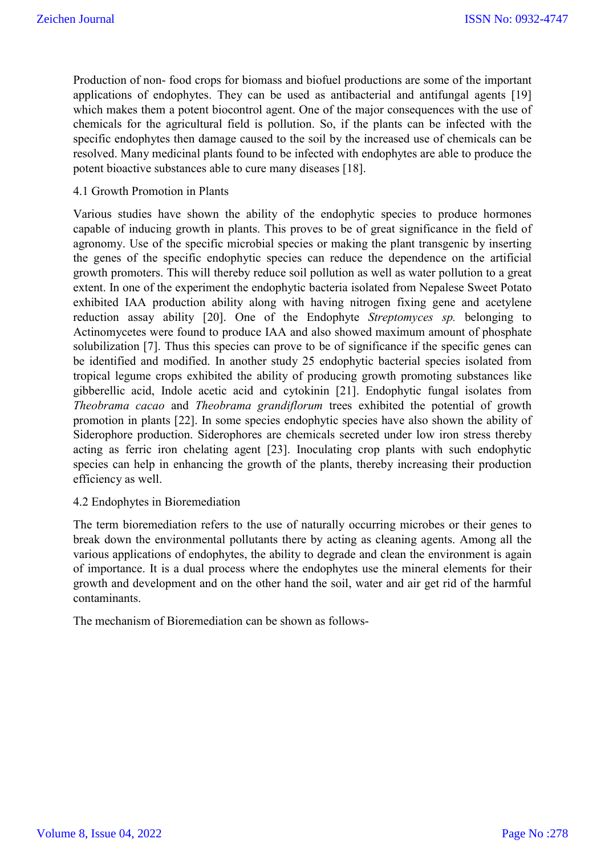Production of non- food crops for biomass and biofuel productions are some of the important applications of endophytes. They can be used as antibacterial and antifungal agents [19] which makes them a potent biocontrol agent. One of the major consequences with the use of chemicals for the agricultural field is pollution. So, if the plants can be infected with the specific endophytes then damage caused to the soil by the increased use of chemicals can be resolved. Many medicinal plants found to be infected with endophytes are able to produce the potent bioactive substances able to cure many diseases [18].

#### 4.1 Growth Promotion in Plants

Various studies have shown the ability of the endophytic species to produce hormones capable of inducing growth in plants. This proves to be of great significance in the field of agronomy. Use of the specific microbial species or making the plant transgenic by inserting the genes of the specific endophytic species can reduce the dependence on the artificial growth promoters. This will thereby reduce soil pollution as well as water pollution to a great extent. In one of the experiment the endophytic bacteria isolated from Nepalese Sweet Potato exhibited IAA production ability along with having nitrogen fixing gene and acetylene reduction assay ability [20]. One of the Endophyte *Streptomyces sp.* belonging to Actinomycetes were found to produce IAA and also showed maximum amount of phosphate solubilization [7]. Thus this species can prove to be of significance if the specific genes can be identified and modified. In another study 25 endophytic bacterial species isolated from tropical legume crops exhibited the ability of producing growth promoting substances like gibberellic acid, Indole acetic acid and cytokinin [21]. Endophytic fungal isolates from *Theobrama cacao* and *Theobrama grandiflorum* trees exhibited the potential of growth promotion in plants [22]. In some species endophytic species have also shown the ability of Siderophore production. Siderophores are chemicals secreted under low iron stress thereby acting as ferric iron chelating agent [23]. Inoculating crop plants with such endophytic species can help in enhancing the growth of the plants, thereby increasing their production efficiency as well.

#### 4.2 Endophytes in Bioremediation

The term bioremediation refers to the use of naturally occurring microbes or their genes to break down the environmental pollutants there by acting as cleaning agents. Among all the various applications of endophytes, the ability to degrade and clean the environment is again of importance. It is a dual process where the endophytes use the mineral elements for their growth and development and on the other hand the soil, water and air get rid of the harmful contaminants.

The mechanism of Bioremediation can be shown as follows-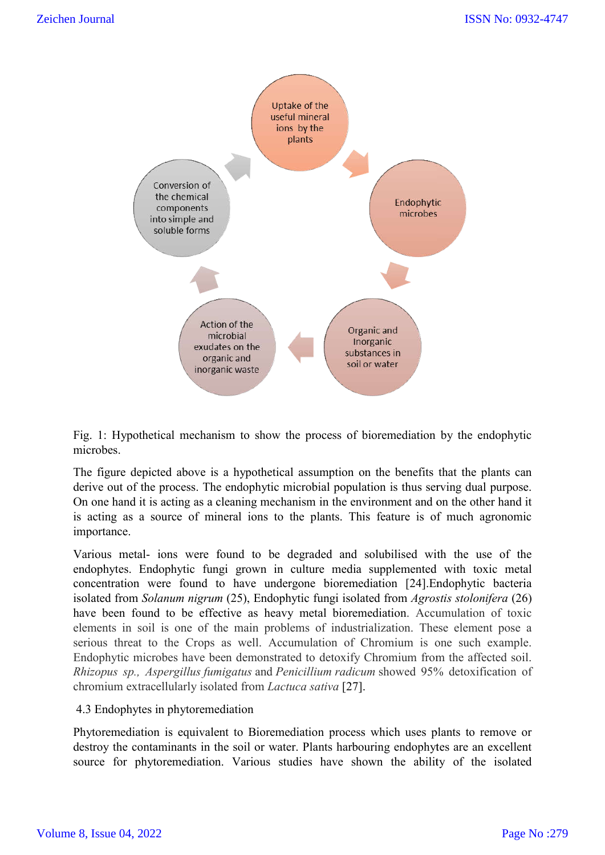

Fig. 1: Hypothetical mechanism to show the process of bioremediation by the endophytic microbes.

The figure depicted above is a hypothetical assumption on the benefits that the plants can derive out of the process. The endophytic microbial population is thus serving dual purpose. On one hand it is acting as a cleaning mechanism in the environment and on the other hand it is acting as a source of mineral ions to the plants. This feature is of much agronomic importance. mechanism to show the process of bioremediation by the endophytic<br>above is a hypothetical assumption on the benefits that the plants can<br>cess. The endophytic microbial population is thus serving dual purpose.<br>ing as a clea

Various metal- ions were found to be degraded and solubilised with the use of the endophytes. Endophytic fungi grown in culture media supplemented with toxic metal concentration were found to have undergone bioremediation [24].Endophytic bacteria Endophytic isolated from *Solanum nigrum* (25), Endophytic fungi isolated from *Agrostis stolonifera* (26) have been found to be effective as heavy metal bioremediation. Accumulation of toxic elements in soil is one of the main problems of industrialization. These element pose a elements in soil is one of the main problems of industrialization. These element pose a serious threat to the Crops as well. Accumulation of Chromium is one such example. Endophytic microbes have been demonstrated to detoxify Chromium from the affected soil. *Rhizopus sp., Aspergillus fumigatus* and *Penicillium radicum* showed 95% detoxification of chromium extracellularly isolated from *Lactuca sativa* [27].

# 4.3 Endophytes in phytoremediation

Phytoremediation is equivalent to Bioremediation process which uses plants to remove or destroy the contaminants in the soil or water. Plants harbouring endophytes are an excellent Endophytic microbes have been demonstrated to detoxify Chromium from the affected soil.<br> *Rhizopus sp., Aspergillus fumigatus* and *Penicillium radicum* showed 95% detoxification of<br>
chromium extracellularly isolated from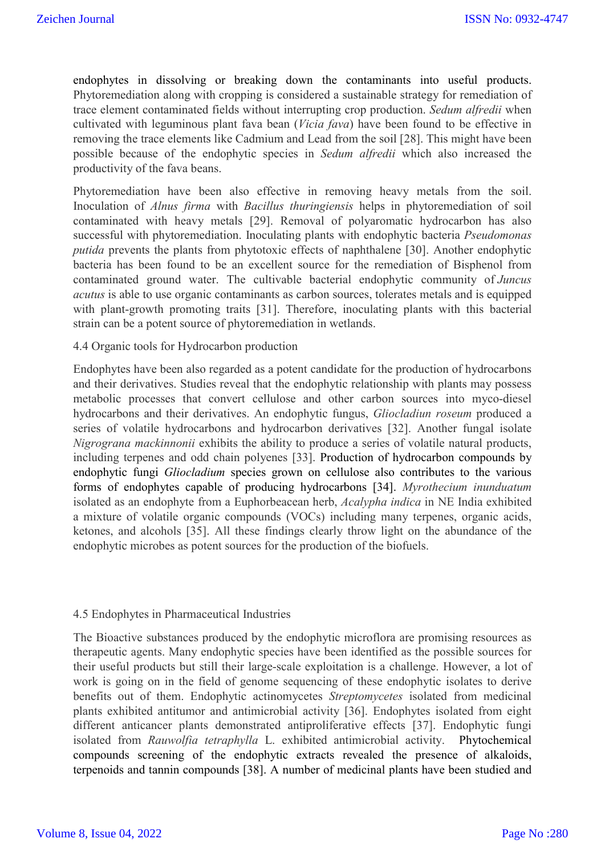endophytes in dissolving or breaking down the contaminants into useful products. Phytoremediation along with cropping is considered a sustainable strategy for remediation of trace element contaminated fields without interrupting crop production. *Sedum alfredii* when cultivated with leguminous plant fava bean (*Vicia fava*) have been found to be effective in removing the trace elements like Cadmium and Lead from the soil [28]. This might have been possible because of the endophytic species in *Sedum alfredii* which also increased the productivity of the fava beans.

Phytoremediation have been also effective in removing heavy metals from the soil. Inoculation of *Alnus firma* with *Bacillus thuringiensis* helps in phytoremediation of soil contaminated with heavy metals [29]. Removal of polyaromatic hydrocarbon has also successful with phytoremediation. Inoculating plants with endophytic bacteria *Pseudomonas putida* prevents the plants from phytotoxic effects of naphthalene [30]. Another endophytic bacteria has been found to be an excellent source for the remediation of Bisphenol from contaminated ground water. The cultivable bacterial endophytic community of *Juncus acutus* is able to use organic contaminants as carbon sources, tolerates metals and is equipped with plant-growth promoting traits [31]. Therefore, inoculating plants with this bacterial strain can be a potent source of phytoremediation in wetlands.

#### 4.4 Organic tools for Hydrocarbon production

Endophytes have been also regarded as a potent candidate for the production of hydrocarbons and their derivatives. Studies reveal that the endophytic relationship with plants may possess metabolic processes that convert cellulose and other carbon sources into myco-diesel hydrocarbons and their derivatives. An endophytic fungus, *Gliocladiun roseum* produced a series of volatile hydrocarbons and hydrocarbon derivatives [32]. Another fungal isolate *Nigrograna mackinnonii* exhibits the ability to produce a series of volatile natural products, including terpenes and odd chain polyenes [33]. Production of hydrocarbon compounds by endophytic fungi *Gliocladium* species grown on cellulose also contributes to the various forms of endophytes capable of producing hydrocarbons [34]. *Myrothecium inunduatum* isolated as an endophyte from a Euphorbeacean herb, *Acalypha indica* in NE India exhibited a mixture of volatile organic compounds (VOCs) including many terpenes, organic acids, ketones, and alcohols [35]. All these findings clearly throw light on the abundance of the endophytic microbes as potent sources for the production of the biofuels.

#### 4.5 Endophytes in Pharmaceutical Industries

The Bioactive substances produced by the endophytic microflora are promising resources as therapeutic agents. Many endophytic species have been identified as the possible sources for their useful products but still their large-scale exploitation is a challenge. However, a lot of work is going on in the field of genome sequencing of these endophytic isolates to derive benefits out of them. Endophytic actinomycetes *Streptomycetes* isolated from medicinal plants exhibited antitumor and antimicrobial activity [36]. Endophytes isolated from eight different anticancer plants demonstrated antiproliferative effects [37]. Endophytic fungi isolated from *Rauwolfia tetraphylla* L. exhibited antimicrobial activity. Phytochemical compounds screening of the endophytic extracts revealed the presence of alkaloids, terpenoids and tannin compounds [38]. A number of medicinal plants have been studied and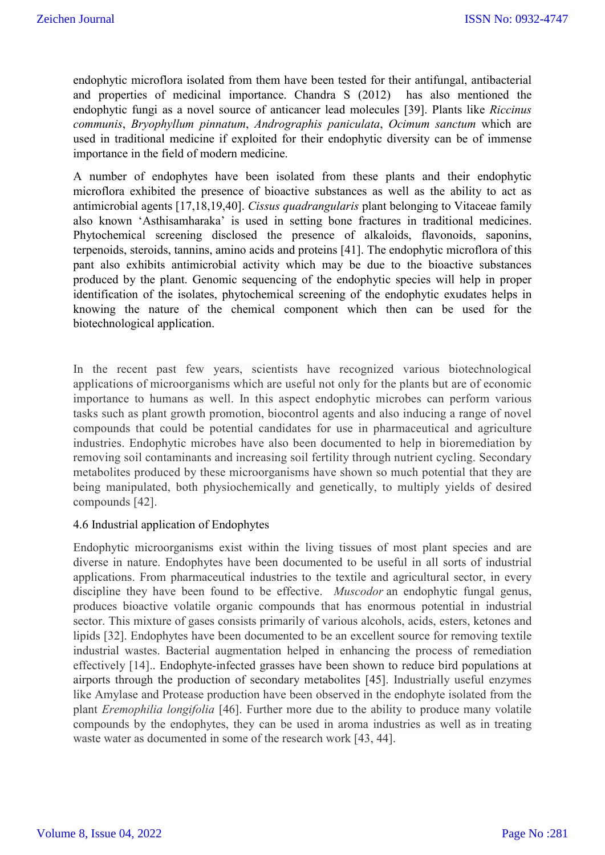endophytic microflora isolated from them have been tested for their antifungal, antibacterial and properties of medicinal importance. Chandra S (2012) has also mentioned the endophytic fungi as a novel source of anticancer lead molecules [39]. Plants like *Riccinus communis*, *Bryophyllum pinnatum*, *Andrographis paniculata*, *Ocimum sanctum* which are used in traditional medicine if exploited for their endophytic diversity can be of immense importance in the field of modern medicine.

A number of endophytes have been isolated from these plants and their endophytic microflora exhibited the presence of bioactive substances as well as the ability to act as antimicrobial agents [17,18,19,40]. *Cissus quadrangularis* plant belonging to Vitaceae family also known 'Asthisamharaka' is used in setting bone fractures in traditional medicines. Phytochemical screening disclosed the presence of alkaloids, flavonoids, saponins, terpenoids, steroids, tannins, amino acids and proteins [41]. The endophytic microflora of this pant also exhibits antimicrobial activity which may be due to the bioactive substances produced by the plant. Genomic sequencing of the endophytic species will help in proper identification of the isolates, phytochemical screening of the endophytic exudates helps in knowing the nature of the chemical component which then can be used for the biotechnological application.

In the recent past few years, scientists have recognized various biotechnological applications of microorganisms which are useful not only for the plants but are of economic importance to humans as well. In this aspect endophytic microbes can perform various tasks such as plant growth promotion, biocontrol agents and also inducing a range of novel compounds that could be potential candidates for use in pharmaceutical and agriculture industries. Endophytic microbes have also been documented to help in bioremediation by removing soil contaminants and increasing soil fertility through nutrient cycling. Secondary metabolites produced by these microorganisms have shown so much potential that they are being manipulated, both physiochemically and genetically, to multiply yields of desired compounds [42].

#### 4.6 Industrial application of Endophytes

Endophytic microorganisms exist within the living tissues of most plant species and are diverse in nature. Endophytes have been documented to be useful in all sorts of industrial applications. From pharmaceutical industries to the textile and agricultural sector, in every discipline they have been found to be effective. *Muscodor* an endophytic fungal genus, produces bioactive volatile organic compounds that has enormous potential in industrial sector. This mixture of gases consists primarily of various alcohols, acids, esters, ketones and lipids [32]. Endophytes have been documented to be an excellent source for removing textile industrial wastes. Bacterial augmentation helped in enhancing the process of remediation effectively [14].. Endophyte-infected grasses have been shown to reduce bird populations at airports through the production of secondary metabolites [45]. Industrially useful enzymes like Amylase and Protease production have been observed in the endophyte isolated from the plant *Eremophilia longifolia* [46]. Further more due to the ability to produce many volatile compounds by the endophytes, they can be used in aroma industries as well as in treating waste water as documented in some of the research work [43, 44].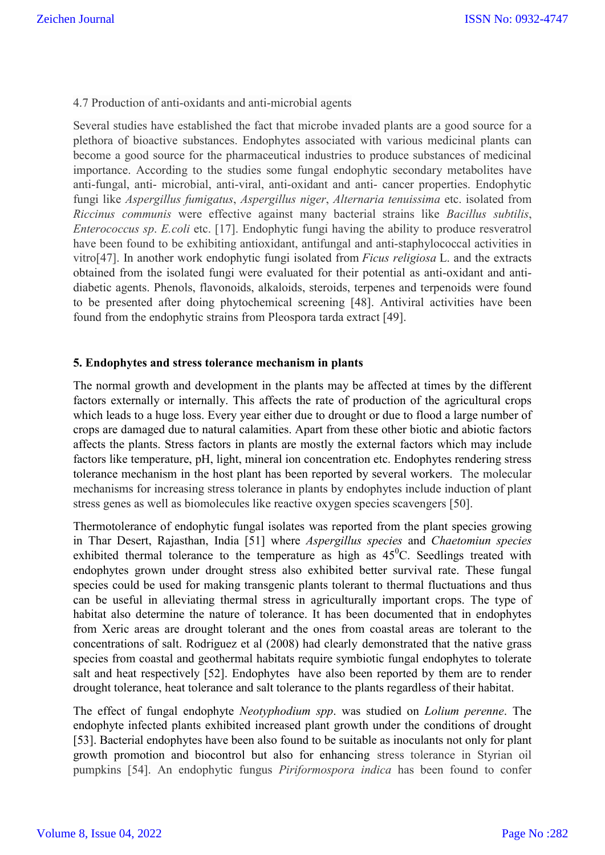### 4.7 Production of anti-oxidants and anti-microbial agents

Several studies have established the fact that microbe invaded plants are a good source for a plethora of bioactive substances. Endophytes associated with various medicinal plants can become a good source for the pharmaceutical industries to produce substances of medicinal importance. According to the studies some fungal endophytic secondary metabolites have anti-fungal, anti- microbial, anti-viral, anti-oxidant and anti- cancer properties. Endophytic fungi like *Aspergillus fumigatus*, *Aspergillus niger*, *Alternaria tenuissima* etc. isolated from *Riccinus communis* were effective against many bacterial strains like *Bacillus subtilis*, *Enterococcus sp*. *E.coli* etc. [17]. Endophytic fungi having the ability to produce resveratrol have been found to be exhibiting antioxidant, antifungal and anti-staphylococcal activities in vitro[47]. In another work endophytic fungi isolated from *Ficus religiosa* L. and the extracts obtained from the isolated fungi were evaluated for their potential as anti-oxidant and antidiabetic agents. Phenols, flavonoids, alkaloids, steroids, terpenes and terpenoids were found to be presented after doing phytochemical screening [48]. Antiviral activities have been found from the endophytic strains from Pleospora tarda extract [49].

#### **5. Endophytes and stress tolerance mechanism in plants**

The normal growth and development in the plants may be affected at times by the different factors externally or internally. This affects the rate of production of the agricultural crops which leads to a huge loss. Every year either due to drought or due to flood a large number of crops are damaged due to natural calamities. Apart from these other biotic and abiotic factors affects the plants. Stress factors in plants are mostly the external factors which may include factors like temperature, pH, light, mineral ion concentration etc. Endophytes rendering stress tolerance mechanism in the host plant has been reported by several workers. The molecular mechanisms for increasing stress tolerance in plants by endophytes include induction of plant stress genes as well as biomolecules like reactive oxygen species scavengers [50].

Thermotolerance of endophytic fungal isolates was reported from the plant species growing in Thar Desert, Rajasthan, India [51] where *Aspergillus species* and *Chaetomiun species* exhibited thermal tolerance to the temperature as high as  $45^{\circ}$ C. Seedlings treated with endophytes grown under drought stress also exhibited better survival rate. These fungal species could be used for making transgenic plants tolerant to thermal fluctuations and thus can be useful in alleviating thermal stress in agriculturally important crops. The type of habitat also determine the nature of tolerance. It has been documented that in endophytes from Xeric areas are drought tolerant and the ones from coastal areas are tolerant to the concentrations of salt. Rodriguez et al (2008) had clearly demonstrated that the native grass species from coastal and geothermal habitats require symbiotic fungal endophytes to tolerate salt and heat respectively [52]. Endophytes have also been reported by them are to render drought tolerance, heat tolerance and salt tolerance to the plants regardless of their habitat.

The effect of fungal endophyte *Neotyphodium spp*. was studied on *Lolium perenne*. The endophyte infected plants exhibited increased plant growth under the conditions of drought [53]. Bacterial endophytes have been also found to be suitable as inoculants not only for plant growth promotion and biocontrol but also for enhancing stress tolerance in Styrian oil pumpkins [54]. An endophytic fungus *Piriformospora indica* has been found to confer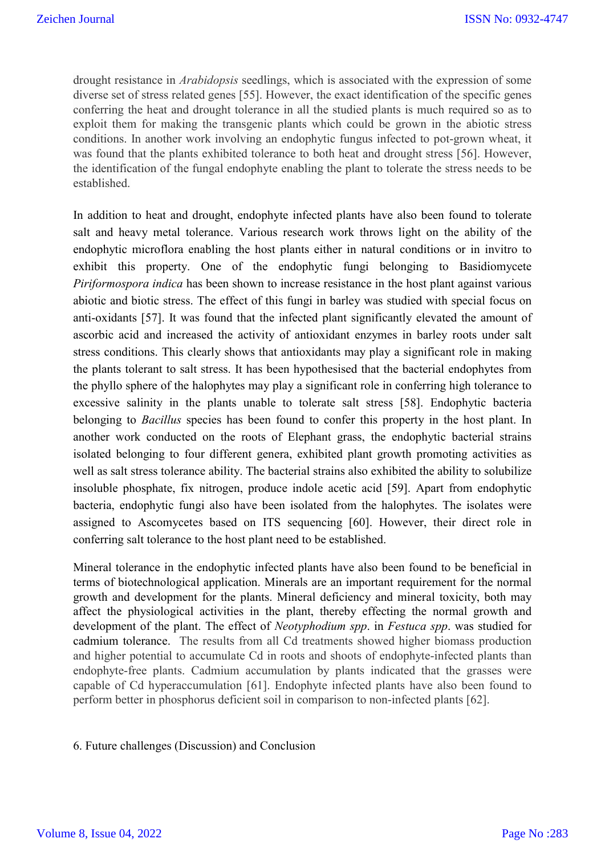drought resistance in *Arabidopsis* seedlings, which is associated with the expression of some diverse set of stress related genes [55]. However, the exact identification of the specific genes conferring the heat and drought tolerance in all the studied plants is much required so as to exploit them for making the transgenic plants which could be grown in the abiotic stress conditions. In another work involving an endophytic fungus infected to pot-grown wheat, it was found that the plants exhibited tolerance to both heat and drought stress [56]. However, the identification of the fungal endophyte enabling the plant to tolerate the stress needs to be established.

In addition to heat and drought, endophyte infected plants have also been found to tolerate salt and heavy metal tolerance. Various research work throws light on the ability of the endophytic microflora enabling the host plants either in natural conditions or in invitro to exhibit this property. One of the endophytic fungi belonging to Basidiomycete *Piriformospora indica* has been shown to increase resistance in the host plant against various abiotic and biotic stress. The effect of this fungi in barley was studied with special focus on anti-oxidants [57]. It was found that the infected plant significantly elevated the amount of ascorbic acid and increased the activity of antioxidant enzymes in barley roots under salt stress conditions. This clearly shows that antioxidants may play a significant role in making the plants tolerant to salt stress. It has been hypothesised that the bacterial endophytes from the phyllo sphere of the halophytes may play a significant role in conferring high tolerance to excessive salinity in the plants unable to tolerate salt stress [58]. Endophytic bacteria belonging to *Bacillus* species has been found to confer this property in the host plant. In another work conducted on the roots of Elephant grass, the endophytic bacterial strains isolated belonging to four different genera, exhibited plant growth promoting activities as well as salt stress tolerance ability. The bacterial strains also exhibited the ability to solubilize insoluble phosphate, fix nitrogen, produce indole acetic acid [59]. Apart from endophytic bacteria, endophytic fungi also have been isolated from the halophytes. The isolates were assigned to Ascomycetes based on ITS sequencing [60]. However, their direct role in conferring salt tolerance to the host plant need to be established.

Mineral tolerance in the endophytic infected plants have also been found to be beneficial in terms of biotechnological application. Minerals are an important requirement for the normal growth and development for the plants. Mineral deficiency and mineral toxicity, both may affect the physiological activities in the plant, thereby effecting the normal growth and development of the plant. The effect of *Neotyphodium spp*. in *Festuca spp*. was studied for cadmium tolerance. The results from all Cd treatments showed higher biomass production and higher potential to accumulate Cd in roots and shoots of endophyte-infected plants than endophyte-free plants. Cadmium accumulation by plants indicated that the grasses were capable of Cd hyperaccumulation [61]. Endophyte infected plants have also been found to perform better in phosphorus deficient soil in comparison to non-infected plants [62].

#### 6. Future challenges (Discussion) and Conclusion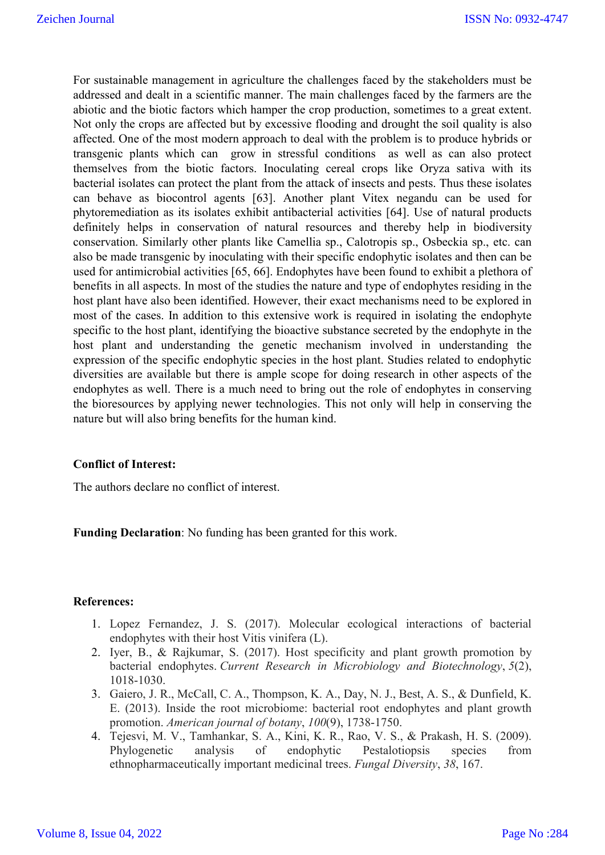For sustainable management in agriculture the challenges faced by the stakeholders must be addressed and dealt in a scientific manner. The main challenges faced by the farmers are the abiotic and the biotic factors which hamper the crop production, sometimes to a great extent. Not only the crops are affected but by excessive flooding and drought the soil quality is also affected. One of the most modern approach to deal with the problem is to produce hybrids or transgenic plants which can grow in stressful conditions as well as can also protect themselves from the biotic factors. Inoculating cereal crops like Oryza sativa with its bacterial isolates can protect the plant from the attack of insects and pests. Thus these isolates can behave as biocontrol agents [63]. Another plant Vitex negandu can be used for phytoremediation as its isolates exhibit antibacterial activities [64]. Use of natural products definitely helps in conservation of natural resources and thereby help in biodiversity conservation. Similarly other plants like Camellia sp., Calotropis sp., Osbeckia sp., etc. can also be made transgenic by inoculating with their specific endophytic isolates and then can be used for antimicrobial activities [65, 66]. Endophytes have been found to exhibit a plethora of benefits in all aspects. In most of the studies the nature and type of endophytes residing in the host plant have also been identified. However, their exact mechanisms need to be explored in most of the cases. In addition to this extensive work is required in isolating the endophyte specific to the host plant, identifying the bioactive substance secreted by the endophyte in the host plant and understanding the genetic mechanism involved in understanding the expression of the specific endophytic species in the host plant. Studies related to endophytic diversities are available but there is ample scope for doing research in other aspects of the endophytes as well. There is a much need to bring out the role of endophytes in conserving the bioresources by applying newer technologies. This not only will help in conserving the nature but will also bring benefits for the human kind.

# **Conflict of Interest:**

The authors declare no conflict of interest.

**Funding Declaration**: No funding has been granted for this work.

# **References:**

- 1. Lopez Fernandez, J. S. (2017). Molecular ecological interactions of bacterial endophytes with their host Vitis vinifera (L).
- 2. Iyer, B., & Rajkumar, S. (2017). Host specificity and plant growth promotion by bacterial endophytes. *Current Research in Microbiology and Biotechnology*, *5*(2), 1018-1030.
- 3. Gaiero, J. R., McCall, C. A., Thompson, K. A., Day, N. J., Best, A. S., & Dunfield, K. E. (2013). Inside the root microbiome: bacterial root endophytes and plant growth promotion. *American journal of botany*, *100*(9), 1738-1750.
- 4. Tejesvi, M. V., Tamhankar, S. A., Kini, K. R., Rao, V. S., & Prakash, H. S. (2009). Phylogenetic analysis of endophytic Pestalotiopsis species from ethnopharmaceutically important medicinal trees. *Fungal Diversity*, *38*, 167.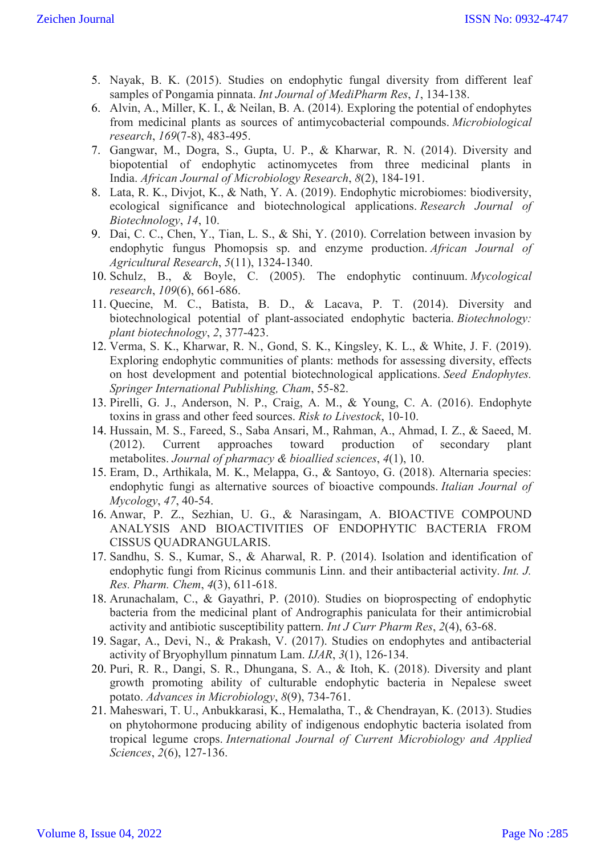- 5. Nayak, B. K. (2015). Studies on endophytic fungal diversity from different leaf samples of Pongamia pinnata. *Int Journal of MediPharm Res*, *1*, 134-138.
- 6. Alvin, A., Miller, K. I., & Neilan, B. A. (2014). Exploring the potential of endophytes from medicinal plants as sources of antimycobacterial compounds. *Microbiological research*, *169*(7-8), 483-495.
- 7. Gangwar, M., Dogra, S., Gupta, U. P., & Kharwar, R. N. (2014). Diversity and biopotential of endophytic actinomycetes from three medicinal plants in India. *African Journal of Microbiology Research*, *8*(2), 184-191.
- 8. Lata, R. K., Divjot, K., & Nath, Y. A. (2019). Endophytic microbiomes: biodiversity, ecological significance and biotechnological applications. *Research Journal of Biotechnology*, *14*, 10.
- 9. Dai, C. C., Chen, Y., Tian, L. S., & Shi, Y. (2010). Correlation between invasion by endophytic fungus Phomopsis sp. and enzyme production. *African Journal of Agricultural Research*, *5*(11), 1324-1340.
- 10. Schulz, B., & Boyle, C. (2005). The endophytic continuum. *Mycological research*, *109*(6), 661-686.
- 11. Quecine, M. C., Batista, B. D., & Lacava, P. T. (2014). Diversity and biotechnological potential of plant-associated endophytic bacteria. *Biotechnology: plant biotechnology*, *2*, 377-423.
- 12. Verma, S. K., Kharwar, R. N., Gond, S. K., Kingsley, K. L., & White, J. F. (2019). Exploring endophytic communities of plants: methods for assessing diversity, effects on host development and potential biotechnological applications. *Seed Endophytes. Springer International Publishing, Cham*, 55-82.
- 13. Pirelli, G. J., Anderson, N. P., Craig, A. M., & Young, C. A. (2016). Endophyte toxins in grass and other feed sources. *Risk to Livestock*, 10-10.
- 14. Hussain, M. S., Fareed, S., Saba Ansari, M., Rahman, A., Ahmad, I. Z., & Saeed, M. (2012). Current approaches toward production of secondary plant metabolites. *Journal of pharmacy & bioallied sciences*, *4*(1), 10.
- 15. Eram, D., Arthikala, M. K., Melappa, G., & Santoyo, G. (2018). Alternaria species: endophytic fungi as alternative sources of bioactive compounds. *Italian Journal of Mycology*, *47*, 40-54.
- 16. Anwar, P. Z., Sezhian, U. G., & Narasingam, A. BIOACTIVE COMPOUND ANALYSIS AND BIOACTIVITIES OF ENDOPHYTIC BACTERIA FROM CISSUS QUADRANGULARIS.
- 17. Sandhu, S. S., Kumar, S., & Aharwal, R. P. (2014). Isolation and identification of endophytic fungi from Ricinus communis Linn. and their antibacterial activity. *Int. J. Res. Pharm. Chem*, *4*(3), 611-618.
- 18. Arunachalam, C., & Gayathri, P. (2010). Studies on bioprospecting of endophytic bacteria from the medicinal plant of Andrographis paniculata for their antimicrobial activity and antibiotic susceptibility pattern. *Int J Curr Pharm Res*, *2*(4), 63-68.
- 19. Sagar, A., Devi, N., & Prakash, V. (2017). Studies on endophytes and antibacterial activity of Bryophyllum pinnatum Lam. *IJAR*, *3*(1), 126-134.
- 20. Puri, R. R., Dangi, S. R., Dhungana, S. A., & Itoh, K. (2018). Diversity and plant growth promoting ability of culturable endophytic bacteria in Nepalese sweet potato. *Advances in Microbiology*, *8*(9), 734-761.
- 21. Maheswari, T. U., Anbukkarasi, K., Hemalatha, T., & Chendrayan, K. (2013). Studies on phytohormone producing ability of indigenous endophytic bacteria isolated from tropical legume crops. *International Journal of Current Microbiology and Applied Sciences*, *2*(6), 127-136.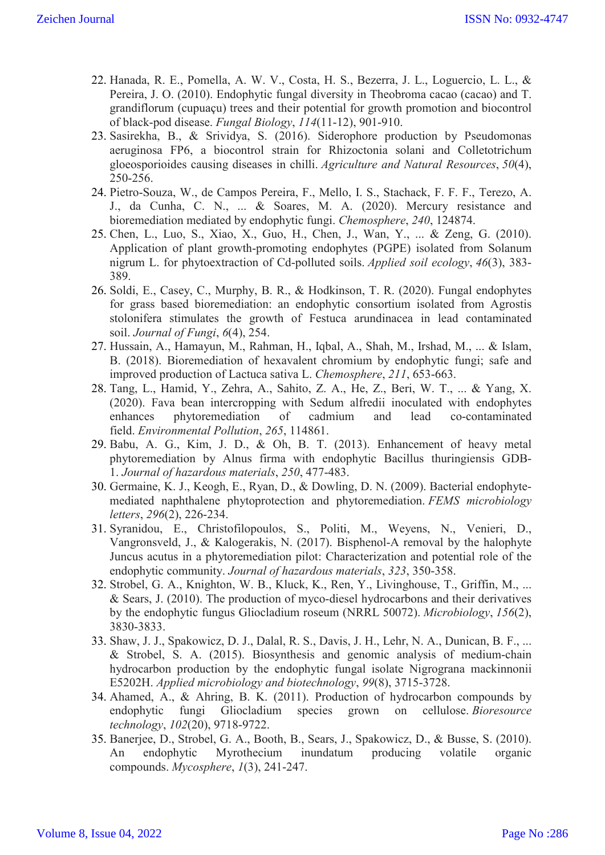- 22. Hanada, R. E., Pomella, A. W. V., Costa, H. S., Bezerra, J. L., Loguercio, L. L., & Pereira, J. O. (2010). Endophytic fungal diversity in Theobroma cacao (cacao) and T. grandiflorum (cupuaçu) trees and their potential for growth promotion and biocontrol of black-pod disease. *Fungal Biology*, *114*(11-12), 901-910.
- 23. Sasirekha, B., & Srividya, S. (2016). Siderophore production by Pseudomonas aeruginosa FP6, a biocontrol strain for Rhizoctonia solani and Colletotrichum gloeosporioides causing diseases in chilli. *Agriculture and Natural Resources*, *50*(4), 250-256.
- 24. Pietro-Souza, W., de Campos Pereira, F., Mello, I. S., Stachack, F. F. F., Terezo, A. J., da Cunha, C. N., ... & Soares, M. A. (2020). Mercury resistance and bioremediation mediated by endophytic fungi. *Chemosphere*, *240*, 124874.
- 25. Chen, L., Luo, S., Xiao, X., Guo, H., Chen, J., Wan, Y., ... & Zeng, G. (2010). Application of plant growth-promoting endophytes (PGPE) isolated from Solanum nigrum L. for phytoextraction of Cd-polluted soils. *Applied soil ecology*, *46*(3), 383- 389.
- 26. Soldi, E., Casey, C., Murphy, B. R., & Hodkinson, T. R. (2020). Fungal endophytes for grass based bioremediation: an endophytic consortium isolated from Agrostis stolonifera stimulates the growth of Festuca arundinacea in lead contaminated soil. *Journal of Fungi*, *6*(4), 254.
- 27. Hussain, A., Hamayun, M., Rahman, H., Iqbal, A., Shah, M., Irshad, M., ... & Islam, B. (2018). Bioremediation of hexavalent chromium by endophytic fungi; safe and improved production of Lactuca sativa L. *Chemosphere*, *211*, 653-663.
- 28. Tang, L., Hamid, Y., Zehra, A., Sahito, Z. A., He, Z., Beri, W. T., ... & Yang, X. (2020). Fava bean intercropping with Sedum alfredii inoculated with endophytes enhances phytoremediation of cadmium and lead co-contaminated field. *Environmental Pollution*, *265*, 114861.
- 29. Babu, A. G., Kim, J. D., & Oh, B. T. (2013). Enhancement of heavy metal phytoremediation by Alnus firma with endophytic Bacillus thuringiensis GDB-1. *Journal of hazardous materials*, *250*, 477-483.
- 30. Germaine, K. J., Keogh, E., Ryan, D., & Dowling, D. N. (2009). Bacterial endophytemediated naphthalene phytoprotection and phytoremediation. *FEMS microbiology letters*, *296*(2), 226-234.
- 31. Syranidou, E., Christofilopoulos, S., Politi, M., Weyens, N., Venieri, D., Vangronsveld, J., & Kalogerakis, N. (2017). Bisphenol-A removal by the halophyte Juncus acutus in a phytoremediation pilot: Characterization and potential role of the endophytic community. *Journal of hazardous materials*, *323*, 350-358.
- 32. Strobel, G. A., Knighton, W. B., Kluck, K., Ren, Y., Livinghouse, T., Griffin, M., ... & Sears, J. (2010). The production of myco-diesel hydrocarbons and their derivatives by the endophytic fungus Gliocladium roseum (NRRL 50072). *Microbiology*, *156*(2), 3830-3833.
- 33. Shaw, J. J., Spakowicz, D. J., Dalal, R. S., Davis, J. H., Lehr, N. A., Dunican, B. F., ... & Strobel, S. A. (2015). Biosynthesis and genomic analysis of medium-chain hydrocarbon production by the endophytic fungal isolate Nigrograna mackinnonii E5202H. *Applied microbiology and biotechnology*, *99*(8), 3715-3728.
- 34. Ahamed, A., & Ahring, B. K. (2011). Production of hydrocarbon compounds by endophytic fungi Gliocladium species grown on cellulose. *Bioresource technology*, *102*(20), 9718-9722.
- 35. Banerjee, D., Strobel, G. A., Booth, B., Sears, J., Spakowicz, D., & Busse, S. (2010). An endophytic Myrothecium inundatum producing volatile organic compounds. *Mycosphere*, *1*(3), 241-247.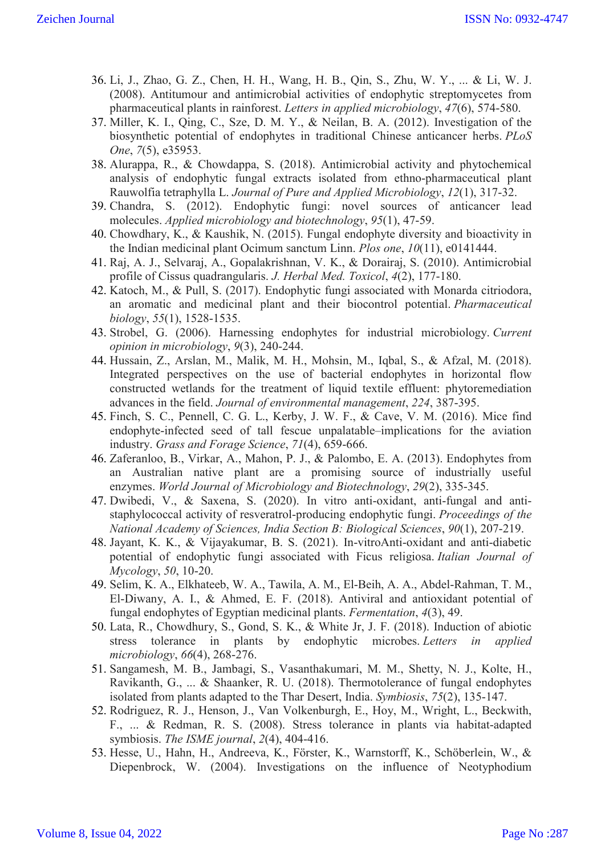- 36. Li, J., Zhao, G. Z., Chen, H. H., Wang, H. B., Qin, S., Zhu, W. Y., ... & Li, W. J. (2008). Antitumour and antimicrobial activities of endophytic streptomycetes from pharmaceutical plants in rainforest. *Letters in applied microbiology*, *47*(6), 574-580.
- 37. Miller, K. I., Qing, C., Sze, D. M. Y., & Neilan, B. A. (2012). Investigation of the biosynthetic potential of endophytes in traditional Chinese anticancer herbs. *PLoS One*, *7*(5), e35953.
- 38. Alurappa, R., & Chowdappa, S. (2018). Antimicrobial activity and phytochemical analysis of endophytic fungal extracts isolated from ethno-pharmaceutical plant Rauwolfia tetraphylla L. *Journal of Pure and Applied Microbiology*, *12*(1), 317-32.
- 39. Chandra, S. (2012). Endophytic fungi: novel sources of anticancer lead molecules. *Applied microbiology and biotechnology*, *95*(1), 47-59.
- 40. Chowdhary, K., & Kaushik, N. (2015). Fungal endophyte diversity and bioactivity in the Indian medicinal plant Ocimum sanctum Linn. *Plos one*, *10*(11), e0141444.
- 41. Raj, A. J., Selvaraj, A., Gopalakrishnan, V. K., & Dorairaj, S. (2010). Antimicrobial profile of Cissus quadrangularis. *J. Herbal Med. Toxicol*, *4*(2), 177-180.
- 42. Katoch, M., & Pull, S. (2017). Endophytic fungi associated with Monarda citriodora, an aromatic and medicinal plant and their biocontrol potential. *Pharmaceutical biology*, *55*(1), 1528-1535.
- 43. Strobel, G. (2006). Harnessing endophytes for industrial microbiology. *Current opinion in microbiology*, *9*(3), 240-244.
- 44. Hussain, Z., Arslan, M., Malik, M. H., Mohsin, M., Iqbal, S., & Afzal, M. (2018). Integrated perspectives on the use of bacterial endophytes in horizontal flow constructed wetlands for the treatment of liquid textile effluent: phytoremediation advances in the field. *Journal of environmental management*, *224*, 387-395.
- 45. Finch, S. C., Pennell, C. G. L., Kerby, J. W. F., & Cave, V. M. (2016). Mice find endophyte-infected seed of tall fescue unpalatable–implications for the aviation industry. *Grass and Forage Science*, *71*(4), 659-666.
- 46. Zaferanloo, B., Virkar, A., Mahon, P. J., & Palombo, E. A. (2013). Endophytes from an Australian native plant are a promising source of industrially useful enzymes. *World Journal of Microbiology and Biotechnology*, *29*(2), 335-345.
- 47. Dwibedi, V., & Saxena, S. (2020). In vitro anti-oxidant, anti-fungal and antistaphylococcal activity of resveratrol-producing endophytic fungi. *Proceedings of the National Academy of Sciences, India Section B: Biological Sciences*, *90*(1), 207-219.
- 48. Jayant, K. K., & Vijayakumar, B. S. (2021). In-vitroAnti-oxidant and anti-diabetic potential of endophytic fungi associated with Ficus religiosa. *Italian Journal of Mycology*, *50*, 10-20.
- 49. Selim, K. A., Elkhateeb, W. A., Tawila, A. M., El-Beih, A. A., Abdel-Rahman, T. M., El-Diwany, A. I., & Ahmed, E. F. (2018). Antiviral and antioxidant potential of fungal endophytes of Egyptian medicinal plants. *Fermentation*, *4*(3), 49.
- 50. Lata, R., Chowdhury, S., Gond, S. K., & White Jr, J. F. (2018). Induction of abiotic stress tolerance in plants by endophytic microbes. *Letters in applied microbiology*, *66*(4), 268-276.
- 51. Sangamesh, M. B., Jambagi, S., Vasanthakumari, M. M., Shetty, N. J., Kolte, H., Ravikanth, G., ... & Shaanker, R. U. (2018). Thermotolerance of fungal endophytes isolated from plants adapted to the Thar Desert, India. *Symbiosis*, *75*(2), 135-147.
- 52. Rodriguez, R. J., Henson, J., Van Volkenburgh, E., Hoy, M., Wright, L., Beckwith, F., ... & Redman, R. S. (2008). Stress tolerance in plants via habitat-adapted symbiosis. *The ISME journal*, *2*(4), 404-416.
- 53. Hesse, U., Hahn, H., Andreeva, K., Förster, K., Warnstorff, K., Schöberlein, W., & Diepenbrock, W. (2004). Investigations on the influence of Neotyphodium